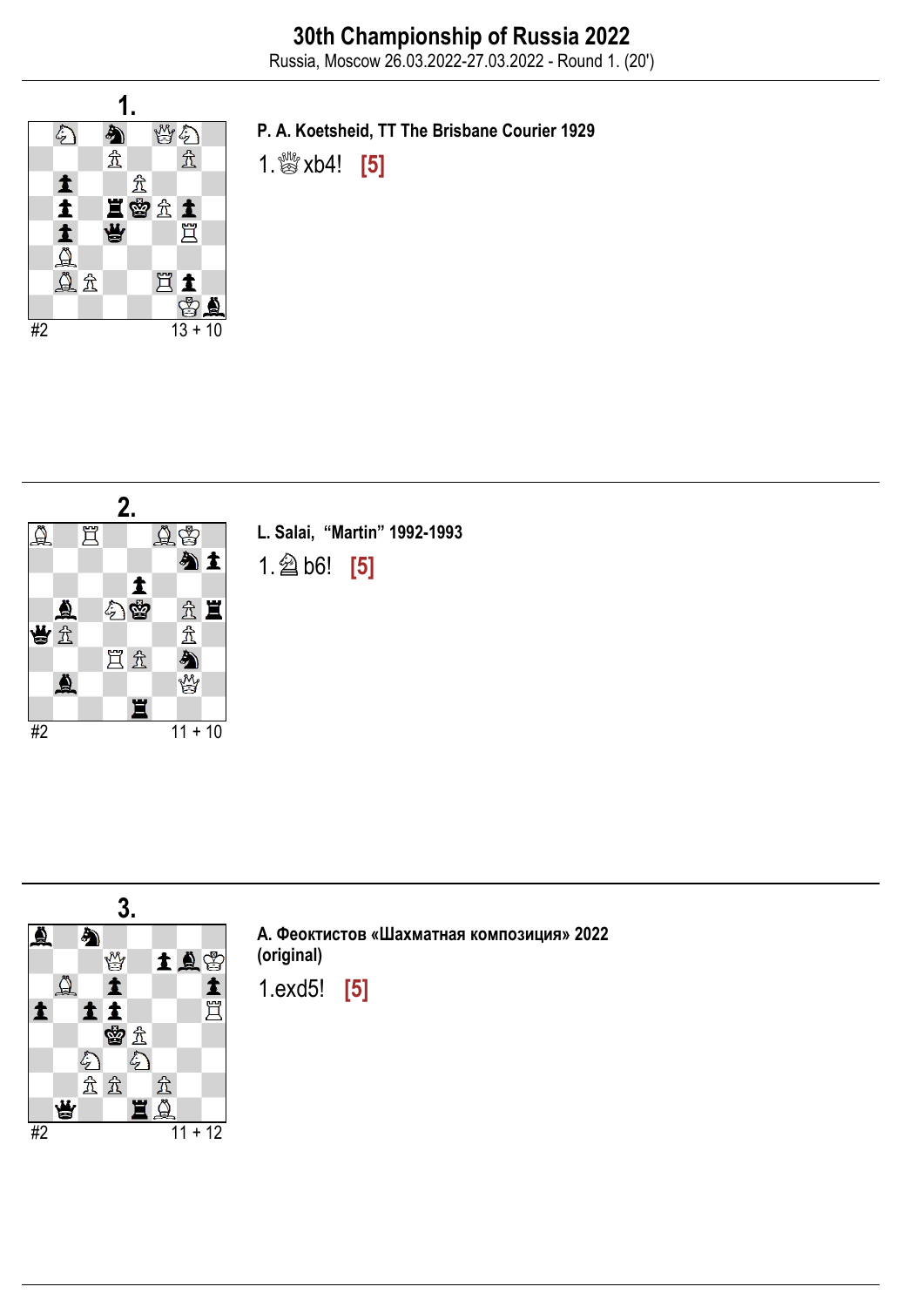

P. A. Koetsheid, TT The Brisbane Courier 1929

1. **\$\$** xb4! [5]



L. Salai, "Martin" 1992-1993 1.♘b6! [5]



А. Феоктистов «Шахматная композиция» 2022 (original)

1.exd5! [5]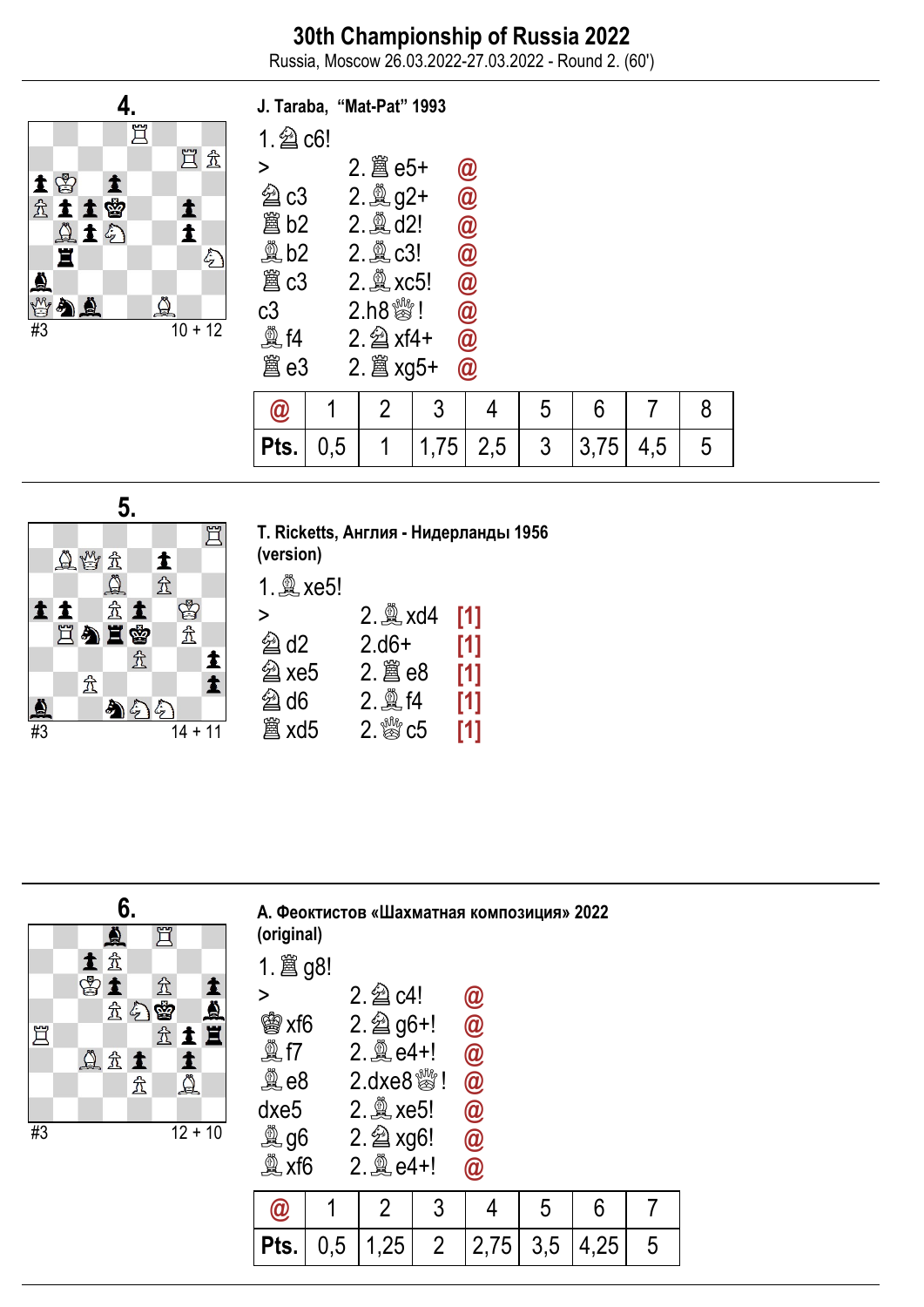Russia, Moscow 26.03.2022-27.03.2022 - Round 2. (60')



|                            | J. Taraba, "Mat-Pat" 1993 |                            |      |                            |   |      |     |   |
|----------------------------|---------------------------|----------------------------|------|----------------------------|---|------|-----|---|
| $1.2$ c6!                  |                           |                            |      |                            |   |      |     |   |
| >                          |                           |                            |      | $\bm{\textcircled{\it a}}$ |   |      |     |   |
| U c3                       |                           |                            |      | $\overline{\mathbf{C}}$    |   |      |     |   |
| 闔 b2                       |                           | 2. ad2!                    |      | 0<br>0<br>0                |   |      |     |   |
| $\mathbb{Q}$ b2            |                           | 2. tc3!                    |      |                            |   |      |     |   |
| 闔 c3                       |                           | 2. axc5!                   |      | $\bar{\pmb{\theta}}$       |   |      |     |   |
| c3                         |                           | $2.h8$ $\frac{80}{10}$ !   |      | $\bar{\textbf{0}}$         |   |      |     |   |
| <b>奠f4</b>                 |                           | $2.\n\hat{\triangle}$ xf4+ |      | $\overline{\omega}$        |   |      |     |   |
| 闔e3                        |                           |                            |      | $\circledR$                |   |      |     |   |
| $\bm{\textcircled{\it 0}}$ | 1                         | 2                          | 3    | 4                          | 5 | 6    |     | 8 |
| Pts.                       | 0,5                       | 1                          | 1,75 | 2,5                        | 3 | 3,75 | 4,5 | 5 |



T. Ricketts, Англия - Нидерланды 1956 (version)

1.♗xe5!

| >                  | $2.$ $\&$ xd4  | [1] |
|--------------------|----------------|-----|
| $\hat{\otimes}$ d2 | $2.06+$        | [1] |
| <b>② xe5</b>       |                | [1] |
| @d6                | $2.$ $*$ f4    | [1] |
| 闔 xd5              | $2.$ $\%$ $c5$ | [1] |



| (original)  |     |                                   |                | А. Феоктистов «Шахматная композиция» 2022 |     |      |   |
|-------------|-----|-----------------------------------|----------------|-------------------------------------------|-----|------|---|
|             |     |                                   |                |                                           |     |      |   |
| >           |     | $2.\n  2$ c4!                     |                | $\bm{\omega}$                             |     |      |   |
| 曾xf6        |     | $2.\n  2$ g6+!                    |                | $\bar{\bm{\varnothing}}$                  |     |      |   |
| <b>奠 f7</b> |     | $2.$ $(2.64+1)$                   |                |                                           |     |      |   |
| <b>奠 e8</b> |     | $2.\text{dxe8}$ $\frac{100}{100}$ |                | @<br>@<br>@                               |     |      |   |
| dxe5        |     | 2. 2xe5!                          |                |                                           |     |      |   |
| <b>奠 g6</b> |     | 2. 2xg6!                          |                | $\overline{\bm{\mathsf{\vartheta}}}$      |     |      |   |
| 奠 xf6       |     | $2.$ $\&$ e4+!                    |                | $\widehat{\bm{a}}$                        |     |      |   |
|             |     | 2                                 | 3              |                                           | 5   | 6    |   |
| Pts.        | 0,5 | 1,25                              | $\overline{2}$ | 2,75                                      | 3,5 | 4,25 | 5 |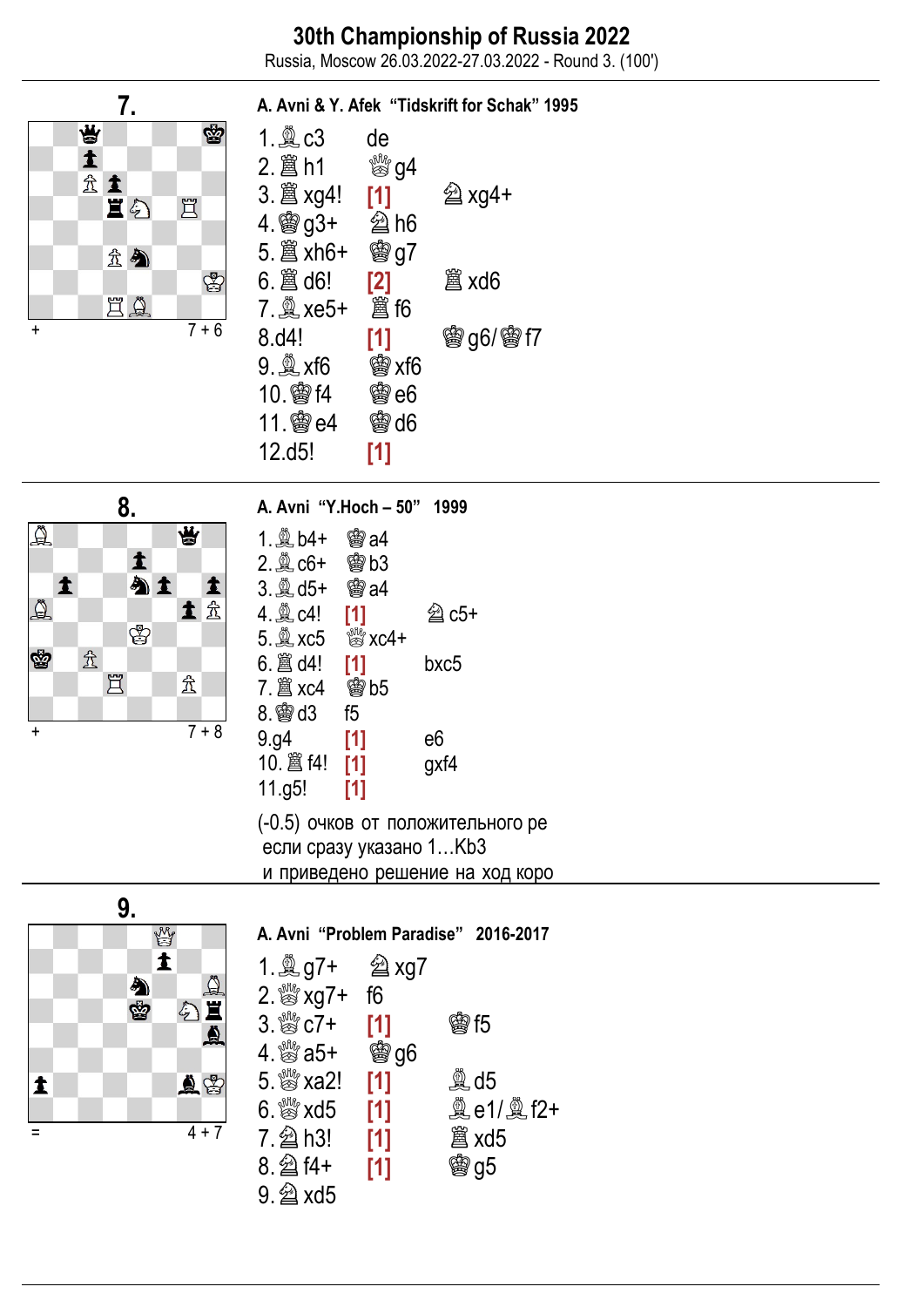Russia, Moscow 26.03.2022-27.03.2022 - Round 3. (100')

A. Avni & Y. Afek "Tidskrift for Schak" 1995

## 7. 曾 **S**  $\blacktriangle$ 金士 直幻 罝 金会 ♔ EQ  $7 + 6$

1. ♗c3 de 2. ♖h1 ू<sup>ख</sup>ी94 3. ♖xg4! [1] ♘xg4+ 4. ♔g3+ ♘h6 5. ♖xh6+ ♔g7 6. ♖d6! [2] **闔 xd6** 7. ♗xe5+ **蠶 f6** 8.d4! [1] **曾g6/曾f7** 9. ♗xf6 **幽xf6** 10. ♔f4 ♔e6 11. ♔e4 **会d6** 12.d5! [1]



#### 1. ♗b4+ **幽a4** 2. ♗c6+ 雷b3 3. ♗d5+ **幽a4** 4. ♗c4! [1]  $\hat{\mathfrak{A}}$  c5+ 5. ♗xc5  $\frac{100}{200}$  xc4+ 6. ♖d4! [1] bxc5 7. ♖xc4 **幽b5** 8. ♔d3 f5

A. Avni "Y.Hoch – 50" 1999

9.g4 [1] e6 10.  $\hat{a}$  f4! [1] gxf4 11.g5! [1] (-0.5) очков от положительного ре

 если сразу указано 1…Kb3 и приведено решение на ход коро



#### A. Avni "Problem Paradise" 2016-2017 1. ♗g7+ ♘xg7 2. Straw xg7+ f6  $3.8^{\circ}$   $c\bar{7}$  + [1] **<br>曾f5** 4. ♕a5+ **曾g6** 5. ﷺ xa2! [1]  $\mathbb{Q}$  d5 6.  $\frac{1000}{2000}$  xd5 [1] **奠e1/奠f2+** 7. 2 h3! [1] **闔 xd5** 8. 2 f4+ [1] **曾g5** 9. ♘xd5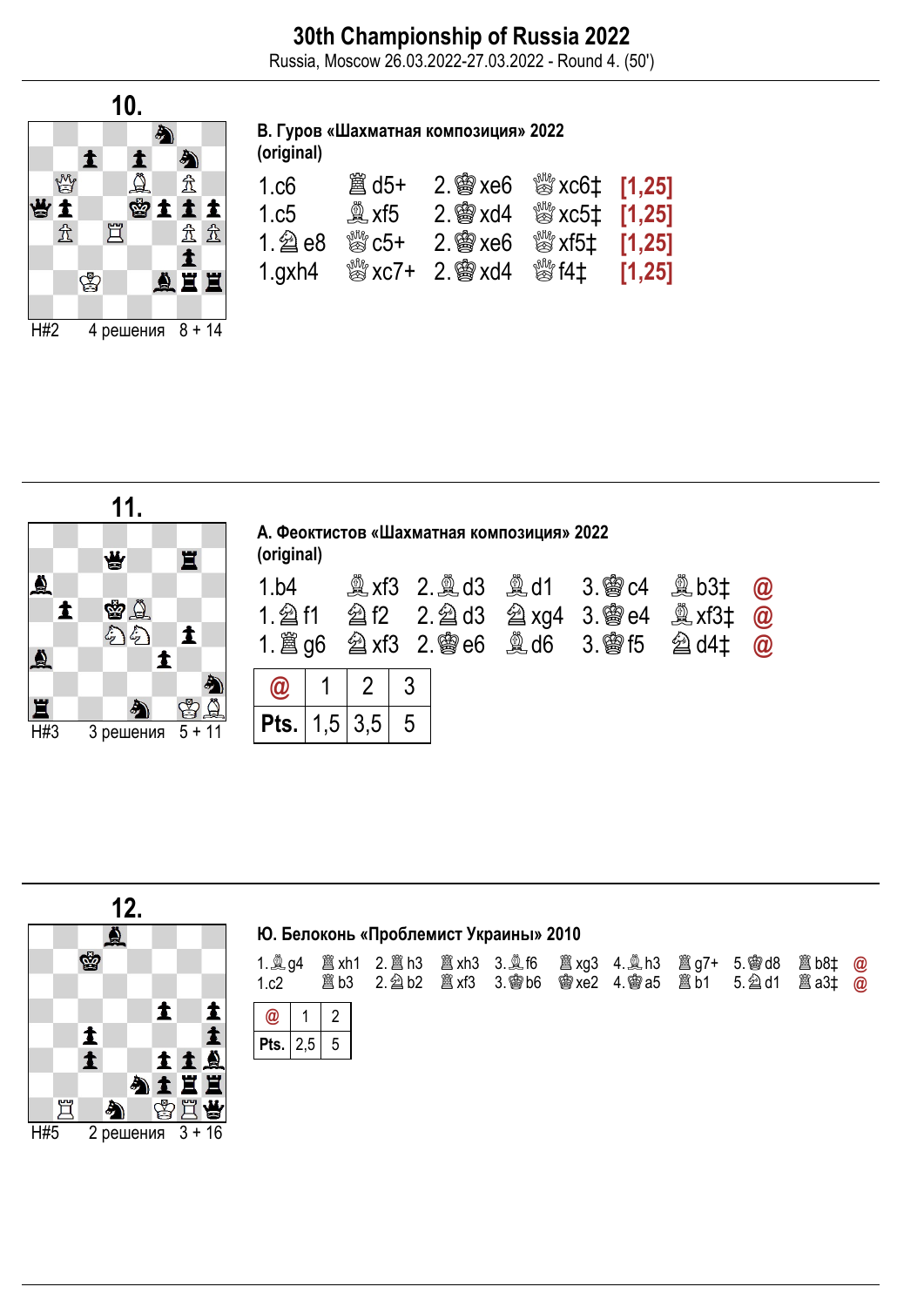Russia, Moscow 26.03.2022-27.03.2022 - Round 4. (50')



## В. Гуров «Шахматная композиция» 2022

(original)

| 1.c6         | 簋 d5+                                     | 2. \$ xe6 $\%$ xc6 $\ddagger$ [1,25]            |                               |  |
|--------------|-------------------------------------------|-------------------------------------------------|-------------------------------|--|
| 1.c5         | $\mathbb{Q}$ xf5                          | $2.$ 臠 xd4                                      | $\frac{300}{250}$ xc5‡ [1,25] |  |
|              | $\stackrel{\text{\tiny{W}}}{\otimes} C5+$ | $2.$ @ $x \in 6$                                | $\frac{300}{25}$ xf5‡ [1,25]  |  |
| $1$ .gxh $4$ |                                           | $\frac{300}{200}$ xc7+ 2. $\frac{200}{200}$ xd4 | ▒ f4‡ [1,25]                  |  |



| (original)          |     |   | А. Феоктистов «Шахматная композиция» 2022 |                                                                                                   |                                                 |
|---------------------|-----|---|-------------------------------------------|---------------------------------------------------------------------------------------------------|-------------------------------------------------|
| 1.b4                |     |   |                                           | <b>③xf3 2. ④d3 ④d1 3. 曾c4 ③b3‡</b><br>1. $\angle$ g6 $\angle$ xf3 2. 曾e6 $\angle$ d6 3. 曾f5 2 d4‡ | $\bm{\varpi}$<br>$\bm{\varpi}$<br>$\bm{\varpi}$ |
| $\bm{\varpi}$       |     |   |                                           |                                                                                                   |                                                 |
| <b>Pts.</b>   $1,5$ | 3,5 | 5 |                                           |                                                                                                   |                                                 |



### Ю. Белоконь «Проблемист Украины» 2010

| 1.c2            |  |  |  |  | 1. $\&$ g4 $\&$ xh1 2. $\&$ h3 $\&$ xh3 3. $\&$ f6 $\&$ xg3 4. $\&$ h3 $\&$ $\&$ g7+ 5. $\&$ d8 $\&$ b8t $\&$ $\&$ |  |
|-----------------|--|--|--|--|--------------------------------------------------------------------------------------------------------------------|--|
| $\boxed{a}$ 1 2 |  |  |  |  |                                                                                                                    |  |
| Pts. $2,5$ 5    |  |  |  |  |                                                                                                                    |  |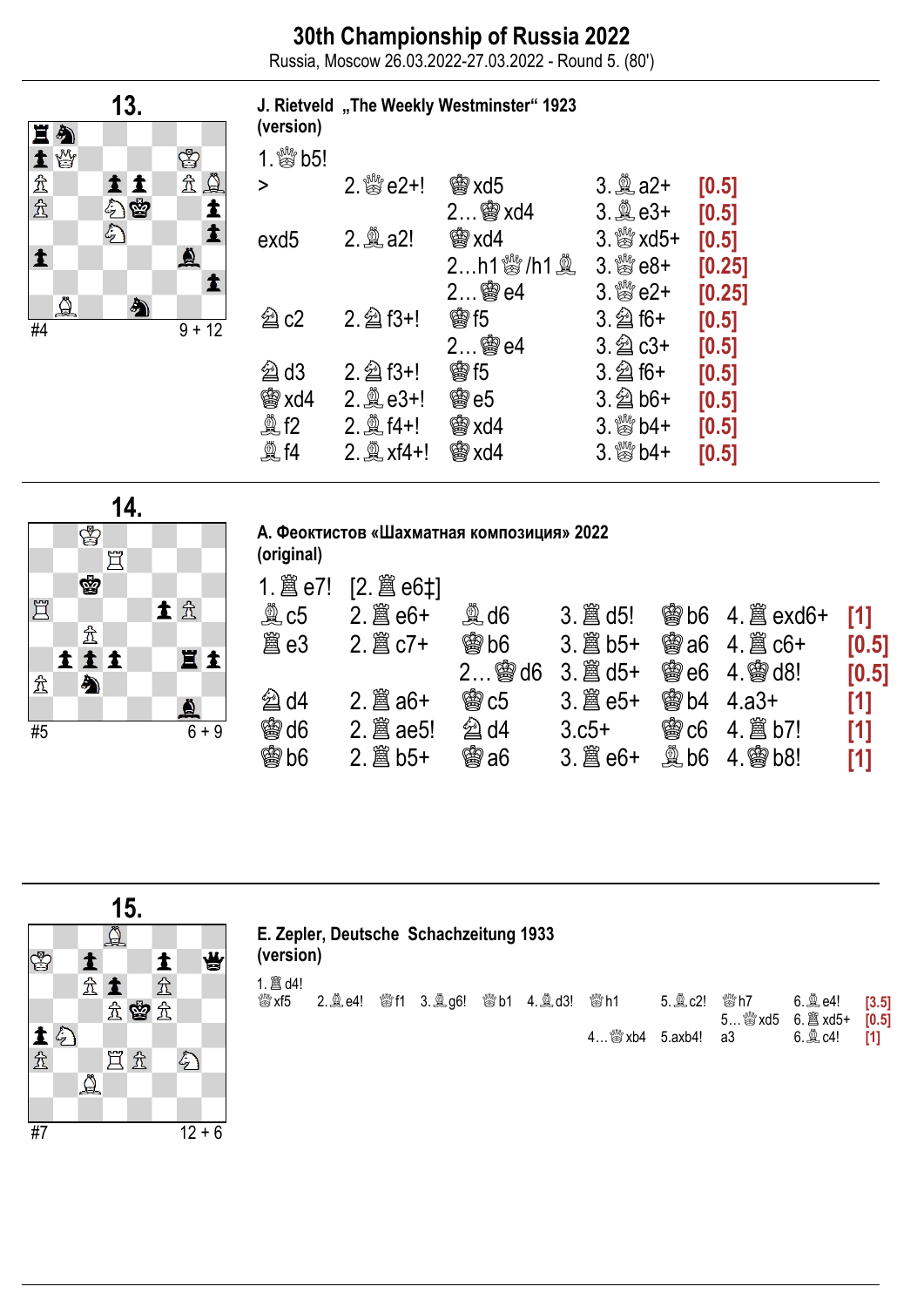Russia, Moscow 26.03.2022-27.03.2022 - Round 5. (80')

J. Rietveld "The Weekly Westminster" 1923



| (version)          |                   |               |                           |        |
|--------------------|-------------------|---------------|---------------------------|--------|
| 1.  \$b5!          |                   |               |                           |        |
| $\geq$             |                   | <b>会xd5</b>   | $3.2a2+$                  | [0.5]  |
|                    |                   | $2$ 窗 xd4     | $3.2e$ e3+                | [0.5]  |
| exd5               | 2. <b>A</b> a2!   | 臠 xd4         | $3.$ $\frac{80}{20}$ xd5+ | [0.5]  |
|                    |                   | $2$ h1 鬱/h1 奠 | $3.$ $80 +$               | [0.25] |
|                    |                   |               | $3.$ $\frac{80}{20}$ e2+  | [0.25] |
| $\hat{\otimes}$ c2 | $2.\n  2$ f3+!    | <b>歯5</b>     | $3.\n  2$ f6+             | [0.5]  |
|                    |                   | 2 窗e4         | $3.\n  2$ $c3+$           | [0.5]  |
| $@$ d3             | 2. 2 f3+!         | <b>歯15</b>    | $3.\n  2$ f6+             | [0.5]  |
| <b>幽xd4</b>        |                   | <b>鬱e5</b>    | $3.\n  2$ b6+             | [0.5]  |
| இீ f2              | 2. 2 f4+!         | <b>的xd4</b>   | $3.$ $80 + 4 + 3$         | [0.5]  |
| <b>夐f4</b>         | 2. <u>奠</u> xf4+! | 会xd4          | $3.$ $\frac{80}{20}$ b4+  | [0.5]  |
|                    |                   |               |                           |        |



А. Феоктистов «Шахматная композиция» 2022

| (original)      | A. PULLED WERE MADE AND MALLERY NUMBER OF FULL |                                 |         |                 |                          |       |
|-----------------|------------------------------------------------|---------------------------------|---------|-----------------|--------------------------|-------|
|                 | [2. 2 e6‡]                                     |                                 |         |                 |                          |       |
| $\mathbb{Q}$ c5 | 2.  曾 e6+                                      | $\overset{\circledR}{\cong}$ d6 |         |                 | <b>@Bb6 4. All exd6+</b> | [1]   |
| 闔 e3            |                                                | <b>幽 b6</b>                     |         | <b>臠 a6</b>     |                          | [0.5] |
|                 |                                                | $2$ @ $d6$                      |         | <b>臠e6</b>      | $4.$ @ $d8!$             | [0.5] |
| $@$ d4          | $2.$ $\hat{\mathbb{B}}$ a6+                    | <b>鸞c5</b>                      |         | <b>幽b4</b>      | 4.a3+                    | [1]   |
| <b>@d6</b>      |                                                | $\hat{\otimes}$ d4              | $3.05+$ | 臠 $c6$          |                          | [1]   |
| <b>魯b6</b>      |                                                | <b>臠 a6</b>                     |         | $\mathbb{R}$ b6 | <b>曾b8!</b>              | [1]   |